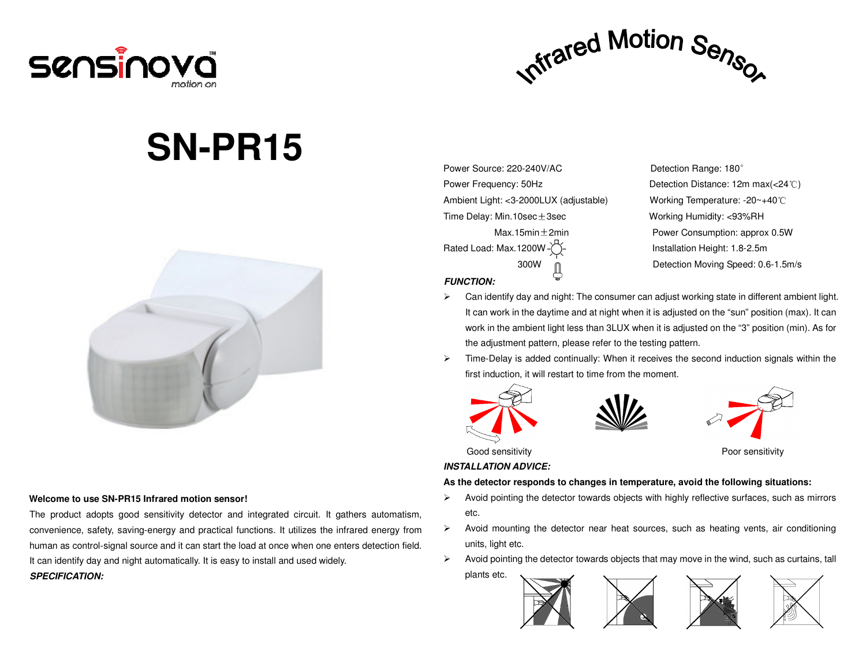



# **SN-PR15**



#### **Welcome to use SN-PR15 Infrared motion sensor!**

The product adopts good sensitivity detector and integrated circuit. It gathers automatism, convenience, safety, saving-energy and practical functions. It utilizes the infrared energy from human as control-signal source and it can start the load at once when one enters detection field. It can identify day and night automatically. It is easy to install and used widely. **SPECIFICATION:** 

Power Source: 220-240V/AC Detection Range: 180° Power Frequency: 50Hz Detection Distance: 12m max(<24℃)Ambient Light: <3-2000LUX (adjustable) Working Temperature: -20~+40℃Time Delay: Min.10sec ± 3sec Working Humidity: <93%RH

## Max.15min $\pm$ 2min **Power Consumption: approx 0.5W** Rated Load: Max.1200W - <sup>--</sup> Fig. 2.5m lnstallation Height: 1.8-2.5m 300W Detection Moving Speed: 0.6-1.5m/s

- **FUNCTION:**
- $\triangleright$  Can identify day and night: The consumer can adjust working state in different ambient light. It can work in the daytime and at night when it is adjusted on the "sun" position (max). It can work in the ambient light less than 3LUX when it is adjusted on the "3" position (min). As for the adjustment pattern, please refer to the testing pattern.
- $\triangleright$  Time-Delay is added continually: When it receives the second induction signals within the first induction, it will restart to time from the moment.







#### Good sensitivity **Boot sensitivity Boot sensitivity Poor sensitivity**

#### **INSTALLATION ADVICE:**

#### **As the detector responds to changes in temperature, avoid the following situations:**

- $\triangleright$  Avoid pointing the detector towards objects with highly reflective surfaces, such as mirrors etc.
- $\triangleright$  Avoid mounting the detector near heat sources, such as heating vents, air conditioning units, light etc.
- $\triangleright$  Avoid pointing the detector towards objects that may move in the wind, such as curtains, tall plants etc.